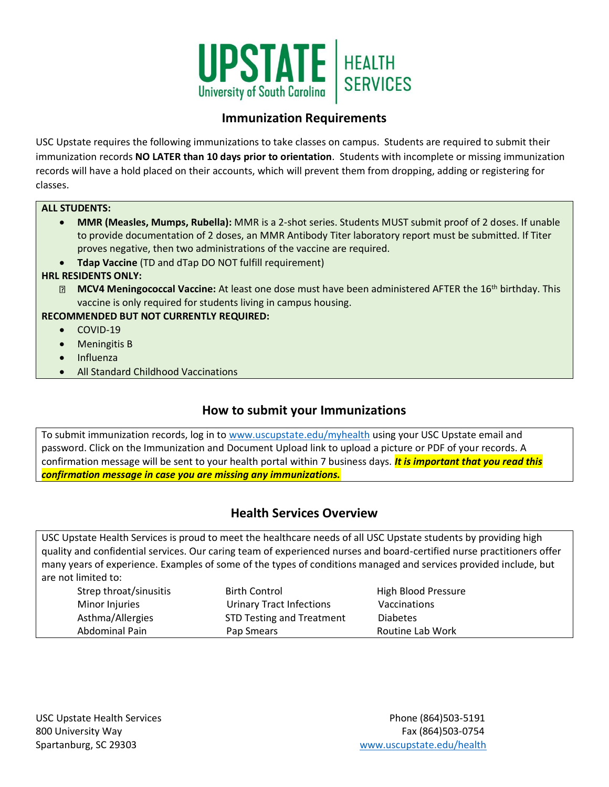

# **Immunization Requirements**

USC Upstate requires the following immunizations to take classes on campus. Students are required to submit their immunization records **NO LATER than 10 days prior to orientation**. Students with incomplete or missing immunization records will have a hold placed on their accounts, which will prevent them from dropping, adding or registering for classes.

### **ALL STUDENTS:**

- **MMR (Measles, Mumps, Rubella):** MMR is a 2-shot series. Students MUST submit proof of 2 doses. If unable to provide documentation of 2 doses, an MMR Antibody Titer laboratory report must be submitted. If Titer proves negative, then two administrations of the vaccine are required.
- **Tdap Vaccine** (TD and dTap DO NOT fulfill requirement)

## **HRL RESIDENTS ONLY:**

**MCV4 Meningococcal Vaccine:** At least one dose must have been administered AFTER the 16<sup>th</sup> birthday. This vaccine is only required for students living in campus housing.

## **RECOMMENDED BUT NOT CURRENTLY REQUIRED:**

- COVID-19
- Meningitis B
- Influenza
- All Standard Childhood Vaccinations

# **How to submit your Immunizations**

To submit immunization records, log in to [www.uscupstate.edu/myhealth](http://www.uscupstate.edu/myhealth) using your USC Upstate email and password. Click on the Immunization and Document Upload link to upload a picture or PDF of your records. A confirmation message will be sent to your health portal within 7 business days. *It is important that you read this confirmation message in case you are missing any immunizations.*

# **Health Services Overview**

USC Upstate Health Services is proud to meet the healthcare needs of all USC Upstate students by providing high quality and confidential services. Our caring team of experienced nurses and board-certified nurse practitioners offer many years of experience. Examples of some of the types of conditions managed and services provided include, but are not limited to:

| Strep throat/sinusitis<br>Minor Injuries | <b>Birth Control</b><br><b>Urinary Tract Infections</b> | High Blood Pressure<br>Vaccinations |
|------------------------------------------|---------------------------------------------------------|-------------------------------------|
| Asthma/Allergies                         | <b>STD Testing and Treatment</b>                        | <b>Diabetes</b>                     |
| Abdominal Pain                           | Pap Smears                                              | Routine Lab Work                    |
|                                          |                                                         |                                     |